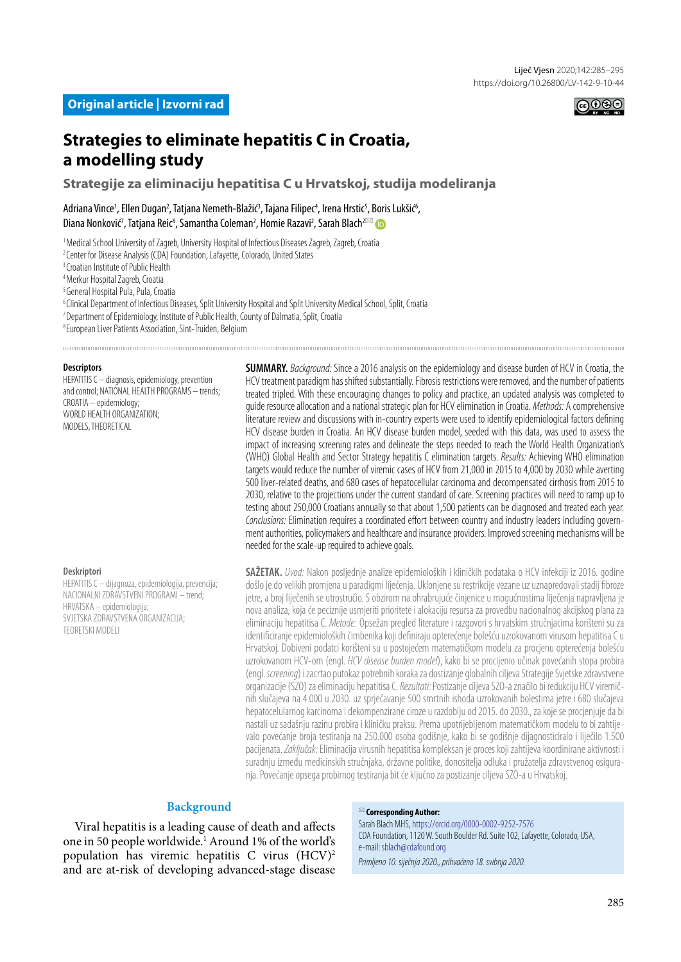

# **Strategies to eliminate hepatitis C in Croatia, a modelling study**

**Strategije za eliminaciju hepatitisa C u Hrvatskoj, studija modeliranja**

Adriana Vince<sup>1</sup>, Ellen Dugan<sup>2</sup>, Tatjana Nemeth-Blažić<sup>3</sup>, Tajana Filipec<sup>4</sup>, Irena Hrstic<sup>s</sup>, Boris Lukšić<sup>6</sup>, Diana Nonković<sup>7</sup>, Tatjana Reic<sup>8</sup>, Samantha Coleman<sup>2</sup>, Homie Razavi<sup>2</sup>, Sarah Blach<sup>2⊠</sup>

<sup>1</sup> Medical School University of Zagreb, University Hospital of Infectious Diseases Zagreb, Zagreb, Croatia

<sup>2</sup> Center for Disease Analysis (CDA) Foundation, Lafayette, Colorado, United States

<sup>3</sup> Croatian Institute of Public Health

4 Merkur Hospital Zagreb, Croatia

5 General Hospital Pula, Pula, Croatia

<sup>6</sup> Clinical Department of Infectious Diseases, Split University Hospital and Split University Medical School, Split, Croatia

7 Department of Epidemiology, Institute of Public Health, County of Dalmatia, Split, Croatia

8 European Liver Patients Association, Sint-Truiden, Belgium

#### **Descriptors**

HEPATITIS C – diagnosis, epidemiology, prevention and control; NATIONAL HEALTH PROGRAMS – trends; CROATIA – epidemiology; WORLD HEALTH ORGANIZATION; MODELS, THEORETICAL

**SUMMARY.** *Background:* Since a 2016 analysis on the epidemiology and disease burden of HCV in Croatia, the HCV treatment paradigm has shifted substantially. Fibrosis restrictions were removed, and the number of patients treated tripled. With these encouraging changes to policy and practice, an updated analysis was completed to guide resource allocation and a national strategic plan for HCV elimination in Croatia. *Methods:* A comprehensive literature review and discussions with in-country experts were used to identify epidemiological factors defining HCV disease burden in Croatia. An HCV disease burden model, seeded with this data, was used to assess the impact of increasing screening rates and delineate the steps needed to reach the World Health Organization's (WHO) Global Health and Sector Strategy hepatitis C elimination targets. *Results:* Achieving WHO elimination targets would reduce the number of viremic cases of HCV from 21,000 in 2015 to 4,000 by 2030 while averting 500 liver-related deaths, and 680 cases of hepatocellular carcinoma and decompensated cirrhosis from 2015 to 2030, relative to the projections under the current standard of care. Screening practices will need to ramp up to testing about 250,000 Croatians annually so that about 1,500 patients can be diagnosed and treated each year. *Conclusions:* Elimination requires a coordinated effort between country and industry leaders including government authorities, policymakers and healthcare and insurance providers. Improved screening mechanisms will be needed for the scale-up required to achieve goals.

#### **Deskriptori**

HEPATITIS C – dijagnoza, epidemiologija, prevencija; NACIONALNI ZDRAVSTVENI PROGRAMI – trend; HRVATSKA – epidemiologija; SVJETSKA ZDRAVSTVENA ORGANIZACIJA; TEORETSKI MODELI

**SAŽETAK.** *Uvod:* Nakon posljednje analize epidemioloških i kliničkih podataka o HCV infekciji iz 2016. godine došlo je do velikih promjena u paradigmi liječenja. Uklonjene su restrikcije vezane uz uznapredovali stadij fibroze jetre, a broj liječenih se utrostručio. S obzirom na ohrabrujuće činjenice u mogućnostima liječenja napravljena je nova analiza, koja će peciznije usmjeriti prioritete i alokaciju resursa za provedbu nacionalnog akcijskog plana za eliminaciju hepatitisa C. *Metode:* Opsežan pregled literature i razgovori s hrvatskim stručnjacima korišteni su za identificiranje epidemioloških čimbenika koji definiraju opterećenje bolešću uzrokovanom virusom hepatitisa C u Hrvatskoj. Dobiveni podatci korišteni su u postojećem matematičkom modelu za procjenu opterećenja bolešću uzrokovanom HCV-om (engl. *HCV disease burden model*), kako bi se procijenio učinak povećanih stopa probira (engl. *screening*) i zacrtao putokaz potrebnih koraka za dostizanje globalnih ciljeva Strategije Svjetske zdravstvene organizacije (SZO) za eliminaciju hepatitisa C. *Rezultati:* Postizanje ciljeva SZO-a značilo bi redukciju HCV viremičnih slučajeva na 4.000 u 2030. uz sprječavanje 500 smrtnih ishoda uzrokovanih bolestima jetre i 680 slučajeva hepatocelularnog karcinoma i dekompenzirane ciroze u razdoblju od 2015. do 2030., za koje se procjenjuje da bi nastali uz sadašnju razinu probira i kliničku praksu. Prema upotrijebljenom matematičkom modelu to bi zahtijevalo povećanje broja testiranja na 250.000 osoba godišnje, kako bi se godišnje dijagnosticiralo i liječilo 1.500 pacijenata. *Zaključak:* Eliminacija virusnih hepatitisa kompleksan je proces koji zahtijeva koordinirane aktivnosti i suradnju između medicinskih stručnjaka, državne politike, donositelja odluka i pružatelja zdravstvenog osiguranja. Povećanje opsega probirnog testiranja bit će ključno za postizanje ciljeva SZO-a u Hrvatskoj.

# **Background**

Viral hepatitis is a leading cause of death and affects one in 50 people worldwide.<sup>1</sup> Around 1% of the world's population has viremic hepatitis C virus (HCV)2 and are at-risk of developing advanced-stage disease

#### <span id="page-0-0"></span> **Corresponding Author:**

Sarah Blach MHS,<https://orcid.org/0000-0002-9252-7576> CDA Foundation, 1120 W. South Boulder Rd. Suite 102, Lafayette, Colorado, USA, e-mail: [sblach@cdafound.org](mailto:sblach@cdafound.org) *Primljeno 10. siječnja 2020., prihvaćeno 18. svibnja 2020.*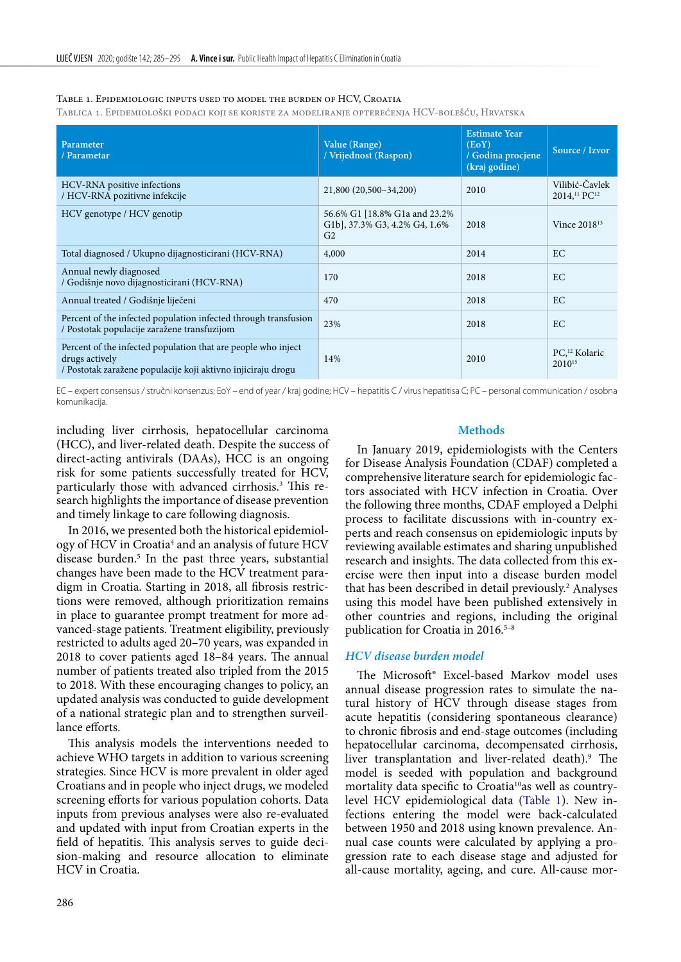<span id="page-1-0"></span>Table 1. Epidemiologic inputs used to model the burden of HCV, Croatia

Tablica 1. Epidemiološki podaci koji se koriste za modeliranje opterećenja HCV-bolešću, Hrvatska

| Parameter<br>/ Parametar                                                                                                                        | Value (Range)<br>/ Vrijednost (Raspon)                                           | <b>Estimate Year</b><br>(EoY)<br>/ Godina procjene<br>(kraj godine) | Source / Izvor                                         |
|-------------------------------------------------------------------------------------------------------------------------------------------------|----------------------------------------------------------------------------------|---------------------------------------------------------------------|--------------------------------------------------------|
| HCV-RNA positive infections<br>/ HCV-RNA pozitivne infekcije                                                                                    | 21,800 (20,500-34,200)                                                           | 2010                                                                | Vilibić-Čavlek<br>2014, <sup>11</sup> PC <sup>12</sup> |
| HCV genotype / HCV genotip                                                                                                                      | 56.6% G1 [18.8% G1a and 23.2%<br>G1b], 37.3% G3, 4.2% G4, 1.6%<br>G <sub>2</sub> | 2018                                                                | Vince $2018^{13}$                                      |
| Total diagnosed / Ukupno dijagnosticirani (HCV-RNA)                                                                                             | 4,000                                                                            | 2014                                                                | EC                                                     |
| Annual newly diagnosed<br>/ Godišnje novo dijagnosticirani (HCV-RNA)                                                                            | 170                                                                              | 2018                                                                | EC                                                     |
| Annual treated / Godišnje liječeni                                                                                                              | 470                                                                              | 2018                                                                | EC                                                     |
| Percent of the infected population infected through transfusion<br>/ Postotak populacije zaražene transfuzijom                                  | 23%                                                                              | 2018                                                                | EC                                                     |
| Percent of the infected population that are people who inject<br>drugs actively<br>/ Postotak zaražene populacije koji aktivno injiciraju drogu | 14%                                                                              | 2010                                                                | PC, <sup>12</sup> Kolaric<br>2010 <sup>15</sup>        |

EC – expert consensus / stručni konsenzus; EoY – end of year / kraj godine; HCV – hepatitis C / virus hepatitisa C; PC – personal communication / osobna komunikacija.

including liver cirrhosis, hepatocellular carcinoma (HCC), and liver-related death. Despite the success of direct-acting antivirals (DAAs), HCC is an ongoing risk for some patients successfully treated for HCV, particularly those with advanced cirrhosis.3 This research highlights the importance of disease prevention and timely linkage to care following diagnosis.

In 2016, we presented both the historical epidemiology of HCV in Croatia<sup>4</sup> and an analysis of future HCV disease burden.5 In the past three years, substantial changes have been made to the HCV treatment paradigm in Croatia. Starting in 2018, all fibrosis restrictions were removed, although prioritization remains in place to guarantee prompt treatment for more advanced-stage patients. Treatment eligibility, previously restricted to adults aged 20–70 years, was expanded in 2018 to cover patients aged 18–84 years. The annual number of patients treated also tripled from the 2015 to 2018. With these encouraging changes to policy, an updated analysis was conducted to guide development of a national strategic plan and to strengthen surveillance efforts.

This analysis models the interventions needed to achieve WHO targets in addition to various screening strategies. Since HCV is more prevalent in older aged Croatians and in people who inject drugs, we modeled screening efforts for various population cohorts. Data inputs from previous analyses were also re-evaluated and updated with input from Croatian experts in the field of hepatitis. This analysis serves to guide decision-making and resource allocation to eliminate HCV in Croatia.

#### **Methods**

In January 2019, epidemiologists with the Centers for Disease Analysis Foundation (CDAF) completed a comprehensive literature search for epidemiologic factors associated with HCV infection in Croatia. Over the following three months, CDAF employed a Delphi process to facilitate discussions with in-country experts and reach consensus on epidemiologic inputs by reviewing available estimates and sharing unpublished research and insights. The data collected from this exercise were then input into a disease burden model that has been described in detail previously.<sup>2</sup> Analyses using this model have been published extensively in other countries and regions, including the original publication for Croatia in 2016.<sup>5-8</sup>

### *HCV disease burden model*

The Microsoft® Excel-based Markov model uses annual disease progression rates to simulate the natural history of HCV through disease stages from acute hepatitis (considering spontaneous clearance) to chronic fibrosis and end-stage outcomes (including hepatocellular carcinoma, decompensated cirrhosis, liver transplantation and liver-related death).<sup>9</sup> The model is seeded with population and background mortality data specific to Croatia<sup>10</sup>as well as countrylevel HCV epidemiological data ([Table 1](#page-1-0)). New infections entering the model were back-calculated between 1950 and 2018 using known prevalence. Annual case counts were calculated by applying a progression rate to each disease stage and adjusted for all-cause mortality, ageing, and cure. All-cause mor-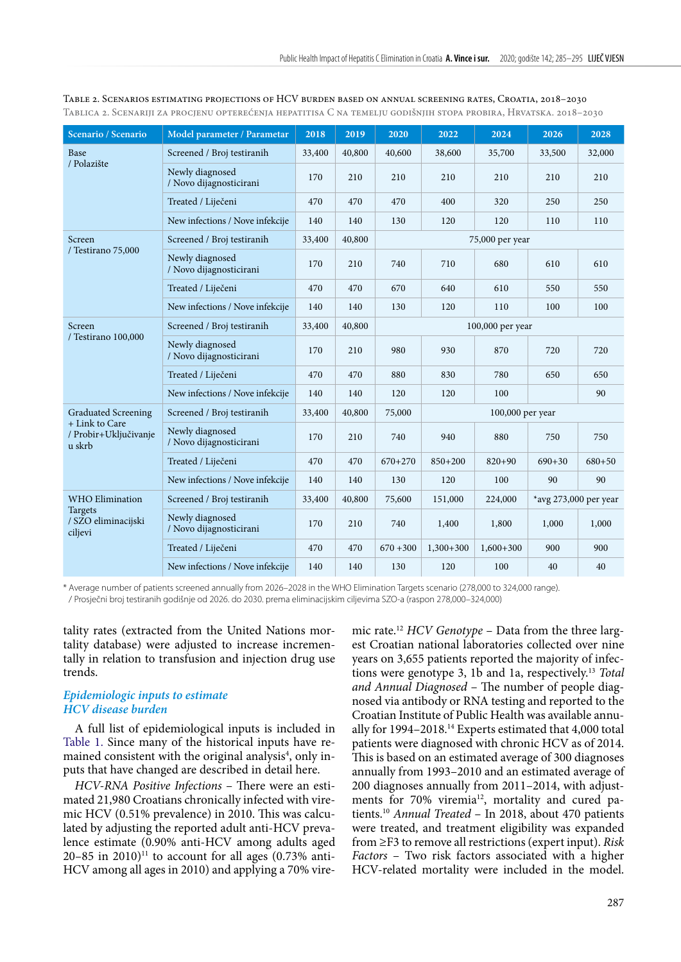| Scenario / Scenario                               | Model parameter / Parametar                | 2018   | 2019   | 2020             | 2022             | 2024            | 2026                  | 2028       |  |  |
|---------------------------------------------------|--------------------------------------------|--------|--------|------------------|------------------|-----------------|-----------------------|------------|--|--|
| Base                                              | Screened / Broj testiranih                 | 33,400 | 40,800 | 40,600           | 38,600           | 35,700          | 33,500                | 32,000     |  |  |
| / Polazište                                       | Newly diagnosed<br>/ Novo dijagnosticirani | 170    | 210    | 210              | 210              | 210             | 210                   | 210        |  |  |
|                                                   | Treated / Liječeni                         | 470    | 470    | 470              | 400              | 320             | 250                   | 250        |  |  |
|                                                   | New infections / Nove infekcije            | 140    | 140    | 130              | 120              | 120             | 110                   | 110        |  |  |
| Screen                                            | Screened / Broj testiranih                 | 33,400 | 40,800 |                  |                  | 75,000 per year |                       |            |  |  |
| / Testirano 75,000                                | Newly diagnosed<br>/ Novo dijagnosticirani | 170    | 210    | 740              | 710              | 680             | 610                   | 610        |  |  |
|                                                   | Treated / Liječeni                         | 470    | 470    | 670              | 640              | 610             | 550                   | 550        |  |  |
|                                                   | New infections / Nove infekcije            | 140    | 140    | 130              | 120              | 110             | 100                   | 100        |  |  |
| Screen<br>/ Testirano 100,000                     | Screened / Broj testiranih                 | 33,400 | 40,800 | 100,000 per year |                  |                 |                       |            |  |  |
|                                                   | Newly diagnosed<br>/ Novo dijagnosticirani | 170    | 210    | 980              | 930              | 870             | 720                   | 720        |  |  |
|                                                   | Treated / Liječeni                         | 470    | 470    | 880              | 830              | 780             | 650                   | 650        |  |  |
|                                                   | New infections / Nove infekcije            | 140    | 140    | 120              | 120              | 100             |                       | 90         |  |  |
| <b>Graduated Screening</b>                        | Screened / Broj testiranih                 | 33,400 | 40,800 | 75,000           | 100,000 per year |                 |                       |            |  |  |
| + Link to Care<br>/ Probir+Uključivanje<br>u skrb | Newly diagnosed<br>/ Novo dijagnosticirani | 170    | 210    | 740              | 940              | 880             | 750                   | 750        |  |  |
|                                                   | Treated / Liječeni                         | 470    | 470    | $670+270$        | $850 + 200$      | $820 + 90$      | $690 + 30$            | $680 + 50$ |  |  |
|                                                   | New infections / Nove infekcije            | 140    | 140    | 130              | 120              | 100             | 90                    | 90         |  |  |
| <b>WHO Elimination</b>                            | Screened / Broj testiranih                 | 33,400 | 40,800 | 75,600           | 151,000          | 224,000         | *avg 273,000 per year |            |  |  |
| Targets<br>/ SZO eliminacijski<br>ciljevi         | Newly diagnosed<br>/ Novo dijagnosticirani | 170    | 210    | 740              | 1,400            | 1,800           | 1,000                 | 1,000      |  |  |
|                                                   | Treated / Liječeni                         | 470    | 470    | $670 + 300$      | $1,300+300$      | $1,600+300$     | 900                   | 900        |  |  |
|                                                   | New infections / Nove infekcije            | 140    | 140    | 130              | 120              | 100             | 40                    | 40         |  |  |

<span id="page-2-0"></span>Table 2. Scenarios estimating projections of HCV burden based on annual screening rates, Croatia, 2018–2030 Tablica 2. Scenariji za procjenu opterećenja hepatitisa C na temelju godišnjih stopa probira, Hrvatska. 2018–2030

\* Average number of patients screened annually from 2026–2028 in the WHO Elimination Targets scenario (278,000 to 324,000 range).

/ Prosječni broj testiranih godišnje od 2026. do 2030. prema eliminacijskim ciljevima SZO-a (raspon 278,000–324,000)

tality rates (extracted from the United Nations mortality database) were adjusted to increase incrementally in relation to transfusion and injection drug use trends.

## *Epidemiologic inputs to estimate HCV disease burden*

A full list of epidemiological inputs is included in [Table 1.](#page-1-0) Since many of the historical inputs have remained consistent with the original analysis<sup>4</sup>, only inputs that have changed are described in detail here.

*HCV-RNA Positive Infections* – There were an estimated 21,980 Croatians chronically infected with viremic HCV (0.51% prevalence) in 2010. This was calculated by adjusting the reported adult anti-HCV prevalence estimate (0.90% anti-HCV among adults aged 20–85 in 2010)<sup>11</sup> to account for all ages (0.73% anti-HCV among all ages in 2010) and applying a 70% viremic rate.12 *HCV Genotype* – Data from the three largest Croatian national laboratories collected over nine years on 3,655 patients reported the majority of infections were genotype 3, 1b and 1a, respectively.13 *Total and Annual Diagnosed* – The number of people diagnosed via antibody or RNA testing and reported to the Croatian Institute of Public Health was available annually for 1994–2018.14 Experts estimated that 4,000 total patients were diagnosed with chronic HCV as of 2014. This is based on an estimated average of 300 diagnoses annually from 1993–2010 and an estimated average of 200 diagnoses annually from 2011–2014, with adjustments for 70% viremia<sup>12</sup>, mortality and cured patients.10 *Annual Treated* – In 2018, about 470 patients were treated, and treatment eligibility was expanded from ≥F3 to remove all restrictions (expert input). *Risk Factors* – Two risk factors associated with a higher HCV-related mortality were included in the model.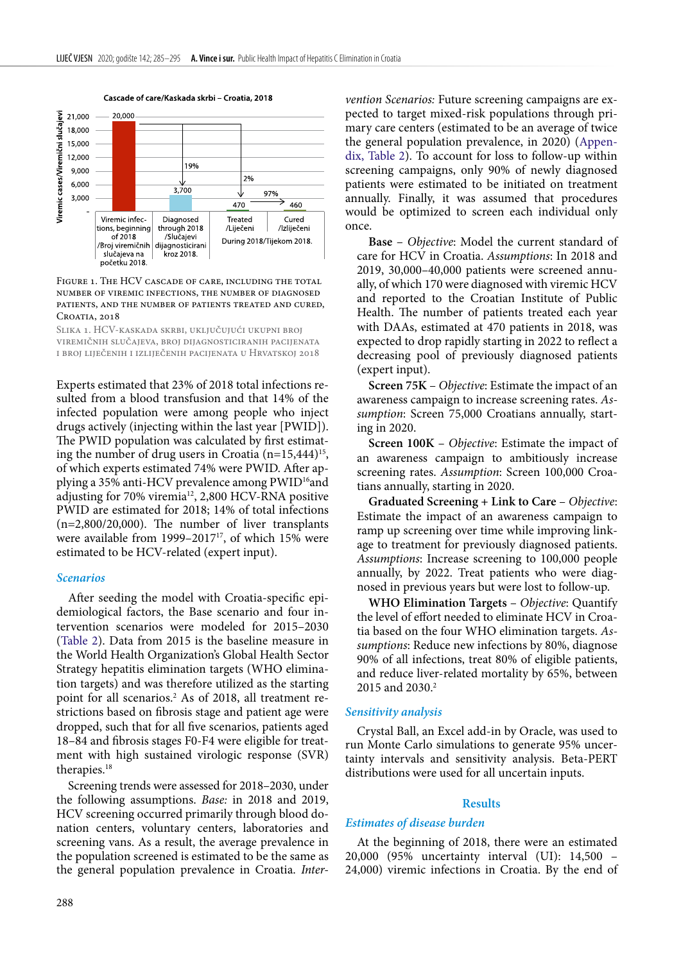

#### Cascade of care/Kaskada skrbi - Croatia, 2018

#### <span id="page-3-0"></span>FIGURE 1. THE HCV CASCADE OF CARE, INCLUDING THE TOTAL number of viremic infections, the number of diagnosed patients, and the number of patients treated and cured, CROATIA, 2018

Slika 1. HCV-kaskada skrbi, uključujući ukupni broj viremičnih slučajeva, broj dijagnosticiranih pacijenata i broj liječenih i izliječenih pacijenata u Hrvatskoj 2018

Experts estimated that 23% of 2018 total infections resulted from a blood transfusion and that 14% of the infected population were among people who inject drugs actively (injecting within the last year [PWID]). The PWID population was calculated by first estimating the number of drug users in Croatia  $(n=15,444)^{15}$ , of which experts estimated 74% were PWID. After applying a 35% anti-HCV prevalence among PWID<sup>16</sup>and adjusting for 70% viremia<sup>12</sup>, 2,800 HCV-RNA positive PWID are estimated for 2018; 14% of total infections (n=2,800/20,000). The number of liver transplants were available from 1999-2017<sup>17</sup>, of which 15% were estimated to be HCV-related (expert input).

#### *Scenarios*

After seeding the model with Croatia-specific epidemiological factors, the Base scenario and four intervention scenarios were modeled for 2015–2030 ([Table 2\)](#page-2-0). Data from 2015 is the baseline measure in the World Health Organization's Global Health Sector Strategy hepatitis elimination targets (WHO elimination targets) and was therefore utilized as the starting point for all scenarios.2 As of 2018, all treatment restrictions based on fibrosis stage and patient age were dropped, such that for all five scenarios, patients aged 18–84 and fibrosis stages F0-F4 were eligible for treatment with high sustained virologic response (SVR) therapies.18

Screening trends were assessed for 2018–2030, under the following assumptions. *Base:* in 2018 and 2019, HCV screening occurred primarily through blood donation centers, voluntary centers, laboratories and screening vans. As a result, the average prevalence in the population screened is estimated to be the same as the general population prevalence in Croatia. *Inter-*

*vention Scenarios:* Future screening campaigns are expected to target mixed-risk populations through primary care centers (estimated to be an average of twice the general population prevalence, in 2020) ([Appen](#page-9-0)dix, [Table 2\)](#page-9-0). To account for loss to follow-up within screening campaigns, only 90% of newly diagnosed patients were estimated to be initiated on treatment annually. Finally, it was assumed that procedures would be optimized to screen each individual only once.

**Base** – *Objective*: Model the current standard of care for HCV in Croatia. *Assumptions*: In 2018 and 2019, 30,000–40,000 patients were screened annually, of which 170 were diagnosed with viremic HCV and reported to the Croatian Institute of Public Health. The number of patients treated each year with DAAs, estimated at 470 patients in 2018, was expected to drop rapidly starting in 2022 to reflect a decreasing pool of previously diagnosed patients (expert input).

**Screen 75K** – *Objective*: Estimate the impact of an awareness campaign to increase screening rates. *Assumption*: Screen 75,000 Croatians annually, starting in 2020.

**Screen 100K** – *Objective*: Estimate the impact of an awareness campaign to ambitiously increase screening rates. *Assumption*: Screen 100,000 Croatians annually, starting in 2020.

**Graduated Screening + Link to Care** – *Objective*: Estimate the impact of an awareness campaign to ramp up screening over time while improving linkage to treatment for previously diagnosed patients. *Assumptions*: Increase screening to 100,000 people annually, by 2022. Treat patients who were diagnosed in previous years but were lost to follow-up.

**WHO Elimination Targets** – *Objective*: Quantify the level of effort needed to eliminate HCV in Croatia based on the four WHO elimination targets. *Assumptions*: Reduce new infections by 80%, diagnose 90% of all infections, treat 80% of eligible patients, and reduce liver-related mortality by 65%, between 2015 and 2030.<sup>2</sup>

#### *Sensitivity analysis*

Crystal Ball, an Excel add-in by Oracle, was used to run Monte Carlo simulations to generate 95% uncertainty intervals and sensitivity analysis. Beta-PERT distributions were used for all uncertain inputs.

### **Results**

### *Estimates of disease burden*

At the beginning of 2018, there were an estimated 20,000 (95% uncertainty interval (UI): 14,500 – 24,000) viremic infections in Croatia. By the end of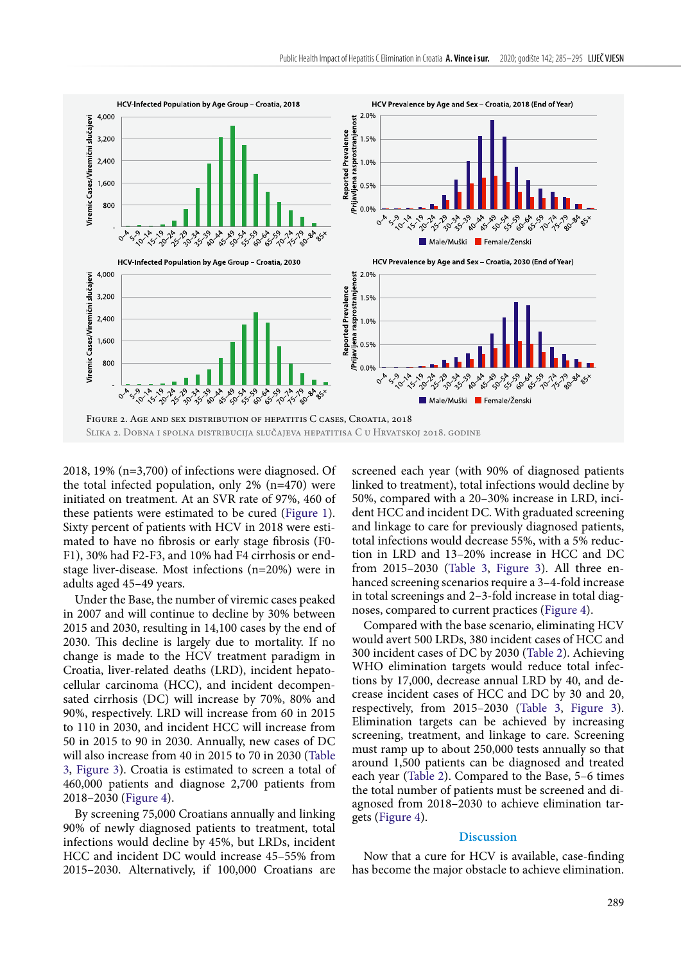

<span id="page-4-0"></span>2018, 19% (n=3,700) of infections were diagnosed. Of the total infected population, only 2% (n=470) were initiated on treatment. At an SVR rate of 97%, 460 of these patients were estimated to be cured ([Figure 1](#page-3-0)). Sixty percent of patients with HCV in 2018 were estimated to have no fibrosis or early stage fibrosis (F0- F1), 30% had F2-F3, and 10% had F4 cirrhosis or endstage liver-disease. Most infections (n=20%) were in adults aged 45–49 years.

Under the Base, the number of viremic cases peaked in 2007 and will continue to decline by 30% between 2015 and 2030, resulting in 14,100 cases by the end of 2030. This decline is largely due to mortality. If no change is made to the HCV treatment paradigm in Croatia, liver-related deaths (LRD), incident hepatocellular carcinoma (HCC), and incident decompensated cirrhosis (DC) will increase by 70%, 80% and 90%, respectively. LRD will increase from 60 in 2015 to 110 in 2030, and incident HCC will increase from 50 in 2015 to 90 in 2030. Annually, new cases of DC will also increase from 40 in 2015 to 70 in 2030 [\(Table](#page-5-0) [3](#page-5-0), [Figure 3\)](#page-6-0). Croatia is estimated to screen a total of 460,000 patients and diagnose 2,700 patients from 2018–2030 [\(Figure 4\)](#page-7-0).

By screening 75,000 Croatians annually and linking 90% of newly diagnosed patients to treatment, total infections would decline by 45%, but LRDs, incident HCC and incident DC would increase 45–55% from 2015–2030. Alternatively, if 100,000 Croatians are screened each year (with 90% of diagnosed patients linked to treatment), total infections would decline by 50%, compared with a 20–30% increase in LRD, incident HCC and incident DC. With graduated screening and linkage to care for previously diagnosed patients, total infections would decrease 55%, with a 5% reduction in LRD and 13–20% increase in HCC and DC from 2015–2030 ([Table 3](#page-5-0), [Figure 3\)](#page-6-0). All three enhanced screening scenarios require a 3–4-fold increase in total screenings and 2–3-fold increase in total diagnoses, compared to current practices ([Figure 4](#page-7-0)).

Compared with the base scenario, eliminating HCV would avert 500 LRDs, 380 incident cases of HCC and 300 incident cases of DC by 2030 ([Table 2](#page-2-0)). Achieving WHO elimination targets would reduce total infections by 17,000, decrease annual LRD by 40, and decrease incident cases of HCC and DC by 30 and 20, respectively, from 2015–2030 [\(Table 3,](#page-5-0) [Figure 3\)](#page-6-0). Elimination targets can be achieved by increasing screening, treatment, and linkage to care. Screening must ramp up to about 250,000 tests annually so that around 1,500 patients can be diagnosed and treated each year ([Table 2](#page-2-0)). Compared to the Base, 5–6 times the total number of patients must be screened and diagnosed from 2018–2030 to achieve elimination targets [\(Figure 4\)](#page-7-0).

#### **Discussion**

Now that a cure for HCV is available, case-finding has become the major obstacle to achieve elimination.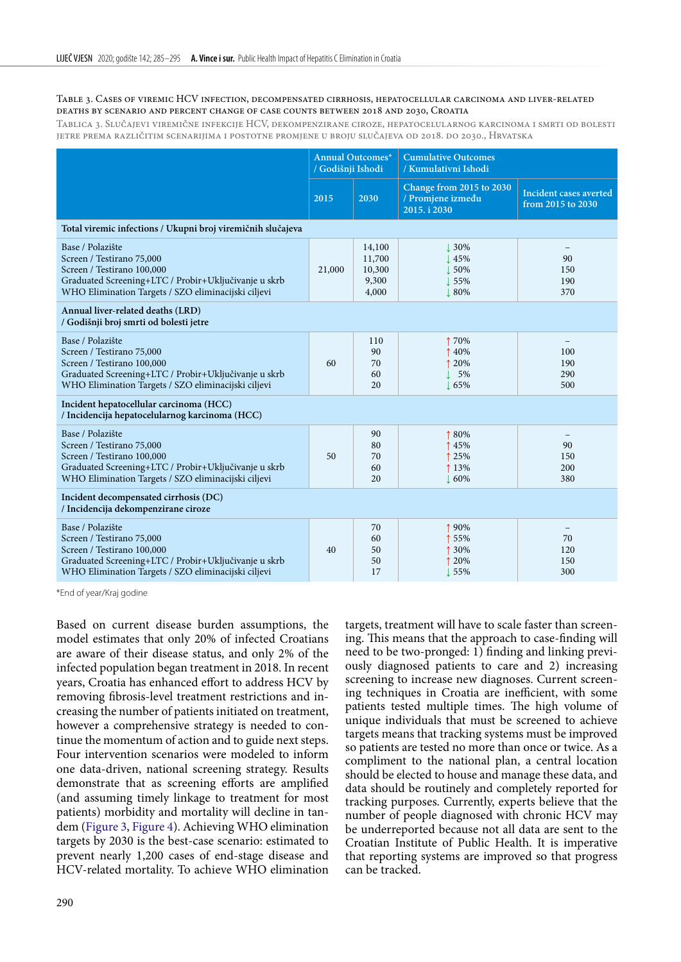#### <span id="page-5-0"></span>Table 3. Cases of viremic HCV infection, decompensated cirrhosis, hepatocellular carcinoma and liver-related deaths by scenario and percent change of case counts between 2018 and 2030, Croatia

Tablica 3. Slučajevi viremične infekcije HCV, dekompenzirane ciroze, hepatocelularnog karcinoma i smrti od bolesti jetre prema različitim scenarijima i postotne promjene u broju slučajeva od 2018. do 2030., Hrvatska

|                                                                                                                                                                                            | <b>Annual Outcomes*</b><br>/ Godišnji Ishodi |                                              | <b>Cumulative Outcomes</b><br>/ Kumulativni Ishodi            |                                                     |
|--------------------------------------------------------------------------------------------------------------------------------------------------------------------------------------------|----------------------------------------------|----------------------------------------------|---------------------------------------------------------------|-----------------------------------------------------|
|                                                                                                                                                                                            | 2015                                         | 2030                                         | Change from 2015 to 2030<br>/ Promjene između<br>2015. i 2030 | Incident cases averted<br>from 2015 to 2030         |
| Total viremic infections / Ukupni broj viremičnih slučajeva                                                                                                                                |                                              |                                              |                                                               |                                                     |
| Base / Polazište<br>Screen / Testirano 75,000<br>Screen / Testirano 100,000<br>Graduated Screening+LTC / Probir+Uključivanje u skrb<br>WHO Elimination Targets / SZO eliminacijski ciljevi | 21,000                                       | 14,100<br>11,700<br>10,300<br>9,300<br>4,000 | .30%<br>45%<br>50%<br>55%<br>80%                              | 90<br>150<br>190<br>370                             |
| Annual liver-related deaths (LRD)<br>/ Godišnji broj smrti od bolesti jetre                                                                                                                |                                              |                                              |                                                               |                                                     |
| Base / Polazište<br>Screen / Testirano 75,000<br>Screen / Testirano 100,000<br>Graduated Screening+LTC / Probir+Uključivanje u skrb<br>WHO Elimination Targets / SZO eliminacijski ciljevi | 60                                           | 110<br>90<br>70<br>60<br>20                  | ↑70%<br>40%<br>20%<br>5%<br>65%                               | 100<br>190<br>290<br>500                            |
| Incident hepatocellular carcinoma (HCC)<br>/ Incidencija hepatocelularnog karcinoma (HCC)                                                                                                  |                                              |                                              |                                                               |                                                     |
| Base / Polazište<br>Screen / Testirano 75,000<br>Screen / Testirano 100,000<br>Graduated Screening+LTC / Probir+Uključivanje u skrb<br>WHO Elimination Targets / SZO eliminacijski ciljevi | 50                                           | 90<br>80<br>70<br>60<br>20                   | 180%<br>45%<br>25%<br>↑ 13%<br>$\perp 60\%$                   | 90<br>150<br>200<br>380                             |
| Incident decompensated cirrhosis (DC)<br>/ Incidencija dekompenzirane ciroze                                                                                                               |                                              |                                              |                                                               |                                                     |
| Base / Polazište<br>Screen / Testirano 75,000<br>Screen / Testirano 100,000<br>Graduated Screening+LTC / Probir+Uključivanje u skrb<br>WHO Elimination Targets / SZO eliminacijski ciljevi | 40                                           | 70<br>60<br>50<br>50<br>17                   | ↑90%<br>55%<br>30%<br>20%<br>155%                             | $\overline{\phantom{0}}$<br>70<br>120<br>150<br>300 |

\*End of year/Kraj godine

Based on current disease burden assumptions, the model estimates that only 20% of infected Croatians are aware of their disease status, and only 2% of the infected population began treatment in 2018. In recent years, Croatia has enhanced effort to address HCV by removing fibrosis-level treatment restrictions and increasing the number of patients initiated on treatment, however a comprehensive strategy is needed to continue the momentum of action and to guide next steps. Four intervention scenarios were modeled to inform one data-driven, national screening strategy. Results demonstrate that as screening efforts are amplified (and assuming timely linkage to treatment for most patients) morbidity and mortality will decline in tandem [\(Figure 3](#page-6-0), [Figure 4\)](#page-7-0). Achieving WHO elimination targets by 2030 is the best-case scenario: estimated to prevent nearly 1,200 cases of end-stage disease and HCV-related mortality. To achieve WHO elimination

targets, treatment will have to scale faster than screening. This means that the approach to case-finding will need to be two-pronged: 1) finding and linking previously diagnosed patients to care and 2) increasing screening to increase new diagnoses. Current screening techniques in Croatia are inefficient, with some patients tested multiple times. The high volume of unique individuals that must be screened to achieve targets means that tracking systems must be improved so patients are tested no more than once or twice. As a compliment to the national plan, a central location should be elected to house and manage these data, and data should be routinely and completely reported for tracking purposes. Currently, experts believe that the number of people diagnosed with chronic HCV may be underreported because not all data are sent to the Croatian Institute of Public Health. It is imperative that reporting systems are improved so that progress can be tracked.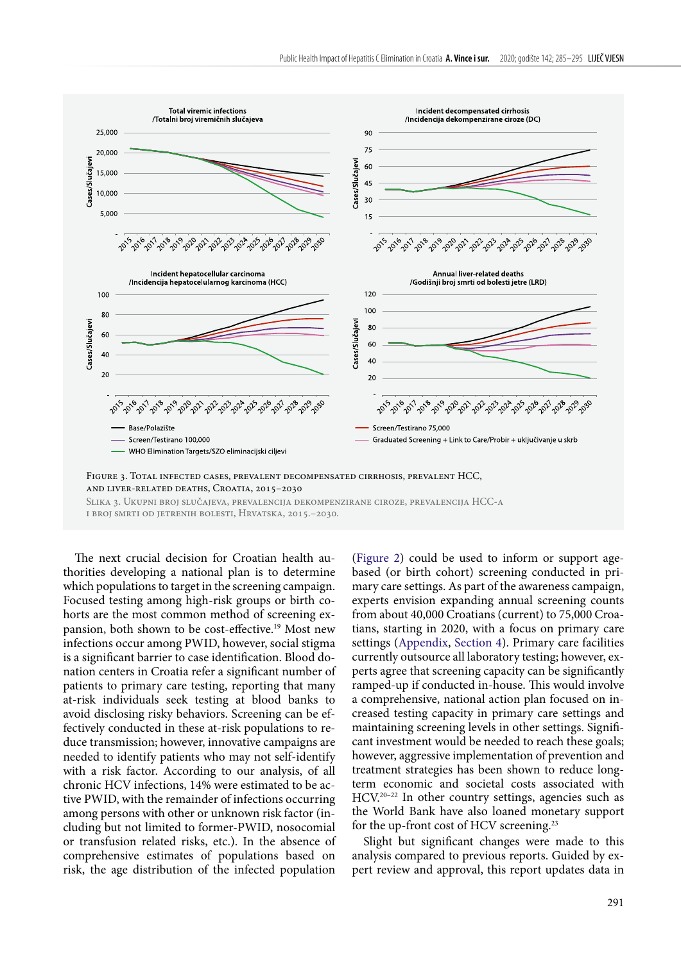

<span id="page-6-0"></span>Slika 3. Ukupni broj slučajeva, prevalencija dekompenzirane ciroze, prevalencija HCC-a i broj smrti od jetrenih bolesti, Hrvatska, 2015.–2030.

The next crucial decision for Croatian health authorities developing a national plan is to determine which populations to target in the screening campaign. Focused testing among high-risk groups or birth cohorts are the most common method of screening expansion, both shown to be cost-effective.<sup>19</sup> Most new infections occur among PWID, however, social stigma is a significant barrier to case identification. Blood donation centers in Croatia refer a significant number of patients to primary care testing, reporting that many at-risk individuals seek testing at blood banks to avoid disclosing risky behaviors. Screening can be effectively conducted in these at-risk populations to reduce transmission; however, innovative campaigns are needed to identify patients who may not self-identify with a risk factor. According to our analysis, of all chronic HCV infections, 14% were estimated to be active PWID, with the remainder of infections occurring among persons with other or unknown risk factor (including but not limited to former-PWID, nosocomial or transfusion related risks, etc.). In the absence of comprehensive estimates of populations based on risk, the age distribution of the infected population

[\(Figure 2](#page-4-0)) could be used to inform or support agebased (or birth cohort) screening conducted in primary care settings. As part of the awareness campaign, experts envision expanding annual screening counts from about 40,000 Croatians (current) to 75,000 Croatians, starting in 2020, with a focus on primary care settings [\(Appendix, Section 4](#page-9-1)). Primary care facilities currently outsource all laboratory testing; however, experts agree that screening capacity can be significantly ramped-up if conducted in-house. This would involve a comprehensive, national action plan focused on increased testing capacity in primary care settings and maintaining screening levels in other settings. Significant investment would be needed to reach these goals; however, aggressive implementation of prevention and treatment strategies has been shown to reduce longterm economic and societal costs associated with HCV.20–22 In other country settings, agencies such as the World Bank have also loaned monetary support for the up-front cost of HCV screening.<sup>23</sup>

Slight but significant changes were made to this analysis compared to previous reports. Guided by expert review and approval, this report updates data in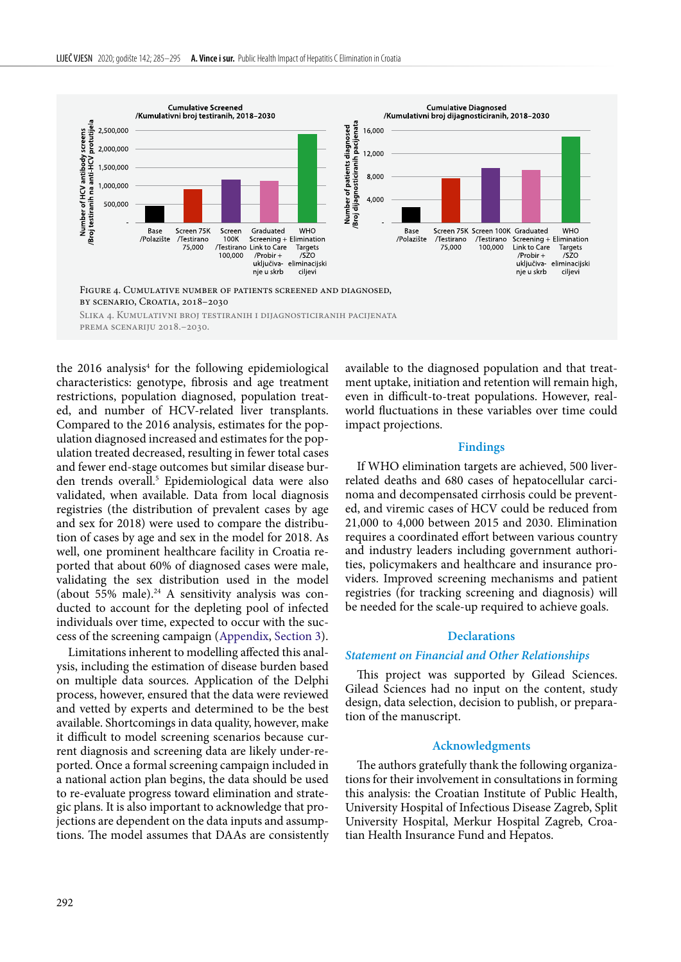

<span id="page-7-0"></span>Slika 4. Kumulativni broj testiranih i dijagnosticiranih pacijenata prema scenariju 2018.–2030.

the 2016 analysis $4$  for the following epidemiological characteristics: genotype, fibrosis and age treatment restrictions, population diagnosed, population treated, and number of HCV-related liver transplants. Compared to the 2016 analysis, estimates for the population diagnosed increased and estimates for the population treated decreased, resulting in fewer total cases and fewer end-stage outcomes but similar disease burden trends overall.5 Epidemiological data were also validated, when available. Data from local diagnosis registries (the distribution of prevalent cases by age and sex for 2018) were used to compare the distribution of cases by age and sex in the model for 2018. As well, one prominent healthcare facility in Croatia reported that about 60% of diagnosed cases were male, validating the sex distribution used in the model (about  $55\%$  male).<sup>24</sup> A sensitivity analysis was conducted to account for the depleting pool of infected individuals over time, expected to occur with the success of the screening campaign [\(Appendix, Section 3](#page-9-2)).

Limitations inherent to modelling affected this analysis, including the estimation of disease burden based on multiple data sources. Application of the Delphi process, however, ensured that the data were reviewed and vetted by experts and determined to be the best available. Shortcomings in data quality, however, make it difficult to model screening scenarios because current diagnosis and screening data are likely under-reported. Once a formal screening campaign included in a national action plan begins, the data should be used to re-evaluate progress toward elimination and strategic plans. It is also important to acknowledge that projections are dependent on the data inputs and assumptions. The model assumes that DAAs are consistently available to the diagnosed population and that treatment uptake, initiation and retention will remain high, even in difficult-to-treat populations. However, realworld fluctuations in these variables over time could impact projections.

#### **Findings**

If WHO elimination targets are achieved, 500 liverrelated deaths and 680 cases of hepatocellular carcinoma and decompensated cirrhosis could be prevented, and viremic cases of HCV could be reduced from 21,000 to 4,000 between 2015 and 2030. Elimination requires a coordinated effort between various country and industry leaders including government authorities, policymakers and healthcare and insurance providers. Improved screening mechanisms and patient registries (for tracking screening and diagnosis) will be needed for the scale-up required to achieve goals.

#### **Declarations**

#### *Statement on Financial and Other Relationships*

This project was supported by Gilead Sciences. Gilead Sciences had no input on the content, study design, data selection, decision to publish, or preparation of the manuscript.

#### **Acknowledgments**

The authors gratefully thank the following organizations for their involvement in consultations in forming this analysis: the Croatian Institute of Public Health, University Hospital of Infectious Disease Zagreb, Split University Hospital, Merkur Hospital Zagreb, Croatian Health Insurance Fund and Hepatos.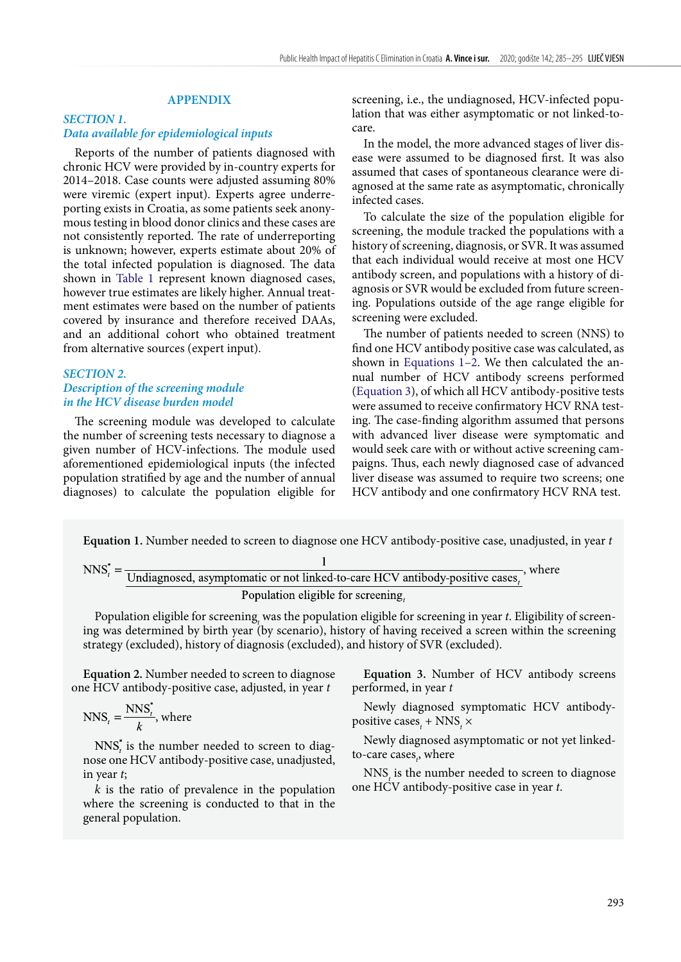# **APPENDIX**

# *SECTION 1. Data available for epidemiological inputs*

Reports of the number of patients diagnosed with chronic HCV were provided by in-country experts for 2014–2018. Case counts were adjusted assuming 80% were viremic (expert input). Experts agree underreporting exists in Croatia, as some patients seek anonymous testing in blood donor clinics and these cases are not consistently reported. The rate of underreporting is unknown; however, experts estimate about 20% of the total infected population is diagnosed. The data shown in [Table 1](#page-1-0) represent known diagnosed cases, however true estimates are likely higher. Annual treatment estimates were based on the number of patients covered by insurance and therefore received DAAs, and an additional cohort who obtained treatment from alternative sources (expert input).

### *SECTION 2. Description of the screening module in the HCV disease burden model*

The screening module was developed to calculate the number of screening tests necessary to diagnose a given number of HCV-infections. The module used aforementioned epidemiological inputs (the infected population stratified by age and the number of annual diagnoses) to calculate the population eligible for

screening, i.e., the undiagnosed, HCV-infected population that was either asymptomatic or not linked-tocare.

In the model, the more advanced stages of liver disease were assumed to be diagnosed first. It was also assumed that cases of spontaneous clearance were diagnosed at the same rate as asymptomatic, chronically infected cases.

To calculate the size of the population eligible for screening, the module tracked the populations with a history of screening, diagnosis, or SVR. It was assumed that each individual would receive at most one HCV antibody screen, and populations with a history of diagnosis or SVR would be excluded from future screening. Populations outside of the age range eligible for screening were excluded.

The number of patients needed to screen (NNS) to find one HCV antibody positive case was calculated, as shown in Equations [1](#page-8-0)[–2.](#page-8-1) We then calculated the annual number of HCV antibody screens performed [\(Equation 3\)](#page-8-2), of which all HCV antibody-positive tests were assumed to receive confirmatory HCV RNA testing. The case-finding algorithm assumed that persons with advanced liver disease were symptomatic and would seek care with or without active screening campaigns. Thus, each newly diagnosed case of advanced liver disease was assumed to require two screens; one HCV antibody and one confirmatory HCV RNA test.

<span id="page-8-0"></span>**Equation 1.** Number needed to screen to diagnose one HCV antibody-positive case, unadjusted, in year *t*

$$
NNS_t^* = \frac{1}{\text{Undiagnosed, asymptomatic or not linked-to-care HCV antibody-positive cases}_t}, \text{ where}
$$
\n
$$
Population eligible for screening_t
$$

Population eligible for screening<sub>t</sub> was the population eligible for screening in year *t*. Eligibility of screening was determined by birth year (by scenario), history of having received a screen within the screening strategy (excluded), history of diagnosis (excluded), and history of SVR (excluded).

<span id="page-8-1"></span>**Equation 2.** Number needed to screen to diagnose one HCV antibody-positive case, adjusted, in year *t*

$$
NNS_t = \frac{NNS_t^*}{k}
$$
, where

 $NNS<sub>i</sub>$  is the number needed to screen to diagnose one HCV antibody-positive case, unadjusted, in year *t*;

*k* is the ratio of prevalence in the population where the screening is conducted to that in the general population.

<span id="page-8-2"></span>**Equation 3.** Number of HCV antibody screens performed, in year *t*

Newly diagnosed symptomatic HCV antibodypositive cases<sub>t</sub> + NNS<sub>t</sub>  $\times$ 

Newly diagnosed asymptomatic or not yet linkedto-care cases<sub>t</sub>, where

 $NNS<sub>t</sub>$  is the number needed to screen to diagnose one HCV antibody-positive case in year *t*.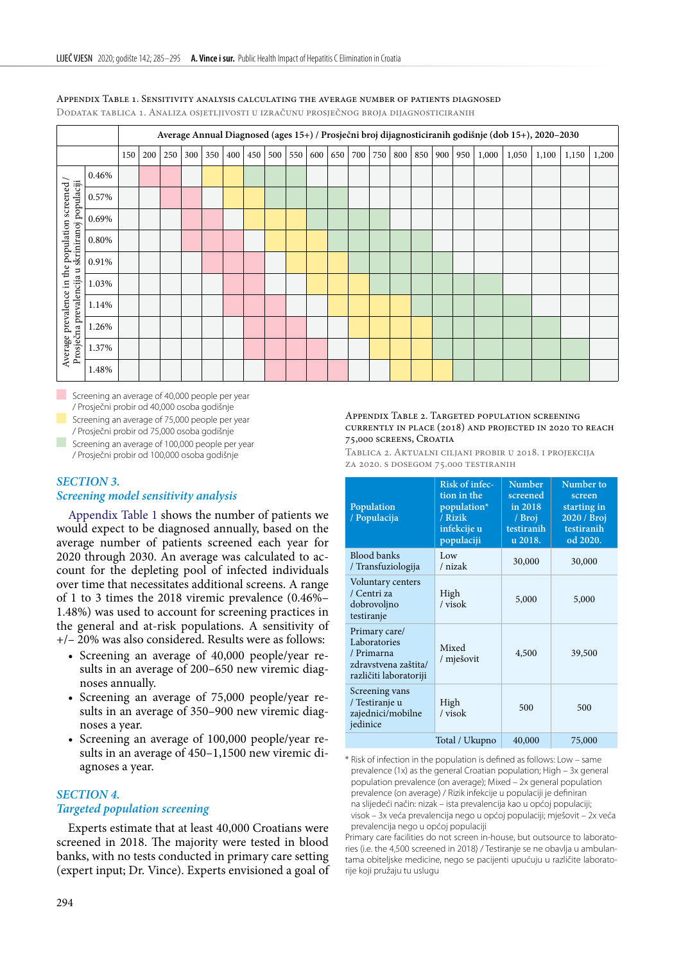|                                                                                                    | Average Annual Diagnosed (ages 15+) / Prosječni broj dijagnosticiranih godišnje (dob 15+), 2020-2030 |     |     |     |     |     |     |     |     |     |     |     |     |     |     |     |     |     |       |       |       |       |       |
|----------------------------------------------------------------------------------------------------|------------------------------------------------------------------------------------------------------|-----|-----|-----|-----|-----|-----|-----|-----|-----|-----|-----|-----|-----|-----|-----|-----|-----|-------|-------|-------|-------|-------|
|                                                                                                    |                                                                                                      | 150 | 200 | 250 | 300 | 350 | 400 | 450 | 500 | 550 | 600 | 650 | 700 | 750 | 800 | 850 | 900 | 950 | 1,000 | 1,050 | 1,100 | 1,150 | 1,200 |
|                                                                                                    | 0.46%                                                                                                |     |     |     |     |     |     |     |     |     |     |     |     |     |     |     |     |     |       |       |       |       |       |
|                                                                                                    | 0.57%                                                                                                |     |     |     |     |     |     |     |     |     |     |     |     |     |     |     |     |     |       |       |       |       |       |
|                                                                                                    | 0.69%                                                                                                |     |     |     |     |     |     |     |     |     |     |     |     |     |     |     |     |     |       |       |       |       |       |
| Average prevalence in the population screened /<br>Prosječna prevalencija u skriniranoj populaciji | 0.80%                                                                                                |     |     |     |     |     |     |     |     |     |     |     |     |     |     |     |     |     |       |       |       |       |       |
|                                                                                                    | 0.91%                                                                                                |     |     |     |     |     |     |     |     |     |     |     |     |     |     |     |     |     |       |       |       |       |       |
|                                                                                                    | 1.03%                                                                                                |     |     |     |     |     |     |     |     |     |     |     |     |     |     |     |     |     |       |       |       |       |       |
|                                                                                                    | 1.14%                                                                                                |     |     |     |     |     |     |     |     |     |     |     |     |     |     |     |     |     |       |       |       |       |       |
|                                                                                                    | 1.26%                                                                                                |     |     |     |     |     |     |     |     |     |     |     |     |     |     |     |     |     |       |       |       |       |       |
|                                                                                                    | 1.37%                                                                                                |     |     |     |     |     |     |     |     |     |     |     |     |     |     |     |     |     |       |       |       |       |       |
|                                                                                                    | 1.48%                                                                                                |     |     |     |     |     |     |     |     |     |     |     |     |     |     |     |     |     |       |       |       |       |       |

#### <span id="page-9-3"></span>Appendix Table 1. Sensitivity analysis calculating the average number of patients diagnosed

Dodatak tablica 1. Analiza osjetljivosti u izračunu prosječnog broja dijagnosticiranih

Screening an average of 40,000 people per year / Prosječni probir od 40,000 osoba godišnje

 Screening an average of 75,000 people per year / Prosječni probir od 75,000 osoba godišnje Screening an average of 100,000 people per year

/ Prosječni probir od 100,000 osoba godišnje

# <span id="page-9-2"></span>*SECTION 3. Screening model sensitivity analysis*

[Appendix Table 1](#page-9-3) shows the number of patients we would expect to be diagnosed annually, based on the average number of patients screened each year for 2020 through 2030. An average was calculated to account for the depleting pool of infected individuals over time that necessitates additional screens. A range of 1 to 3 times the 2018 viremic prevalence (0.46%– 1.48%) was used to account for screening practices in the general and at-risk populations. A sensitivity of +/– 20% was also considered. Results were as follows:

- • Screening an average of 40,000 people/year results in an average of 200–650 new viremic diagnoses annually.
- • Screening an average of 75,000 people/year results in an average of 350–900 new viremic diagnoses a year.
- Screening an average of 100,000 people/year results in an average of 450–1,1500 new viremic diagnoses a year.

### <span id="page-9-1"></span>*SECTION 4.*

# *Targeted population screening*

Experts estimate that at least 40,000 Croatians were screened in 2018. The majority were tested in blood banks, with no tests conducted in primary care setting (expert input; Dr. Vince). Experts envisioned a goal of

#### <span id="page-9-0"></span>Appendix Table 2. Targeted population screening currently in place (2018) and projected in 2020 to reach 75,000 screens, Croatia

Tablica 2. Aktualni ciljani probir u 2018. i projekcija za 2020. s dosegom 75.000 testiranih

| Population<br>/ Populacija                                                                    | Risk of infec-<br>tion in the<br>population*<br>/ Rizik<br>infekcije u<br>populaciji | <b>Number</b><br>screened<br>in 2018<br>/ Broj<br>testiranih<br>u 2018. | Number to<br>screen<br>starting in<br>2020 / Broj<br>testiranih<br>od 2020. |
|-----------------------------------------------------------------------------------------------|--------------------------------------------------------------------------------------|-------------------------------------------------------------------------|-----------------------------------------------------------------------------|
| <b>Blood banks</b><br>/ Transfuziologija                                                      | Low<br>/ nizak                                                                       | 30,000                                                                  | 30,000                                                                      |
| Voluntary centers<br>/ Centri za<br>dobrovoljno<br>testiranje                                 | High<br>/ visok                                                                      | 5,000                                                                   | 5,000                                                                       |
| Primary care/<br>Laboratories<br>/ Primarna<br>zdravstvena zaštita/<br>različiti laboratoriji | Mixed<br>/ mješovit                                                                  | 4,500                                                                   | 39,500                                                                      |
| Screening vans<br>/ Testiranje u<br>zajednici/mobilne<br>jedinice                             | High<br>/ visok                                                                      | 500                                                                     | 500                                                                         |
|                                                                                               | 40,000                                                                               | 75,000                                                                  |                                                                             |

\* Risk of infection in the population is defined as follows: Low – same prevalence (1x) as the general Croatian population; High – 3x general population prevalence (on average); Mixed – 2x general population prevalence (on average) / Rizik infekcije u populaciji je definiran na slijedeći način: nizak – ista prevalencija kao u općoj populaciji; visok – 3x veća prevalencija nego u općoj populaciji; mješovit – 2x veća prevalencija nego u općoj populaciji

Primary care facilities do not screen in-house, but outsource to laboratories (i.e. the 4,500 screened in 2018) / Testiranje se ne obavlja u ambulantama obiteljske medicine, nego se pacijenti upućuju u različite laboratorije koji pružaju tu uslugu